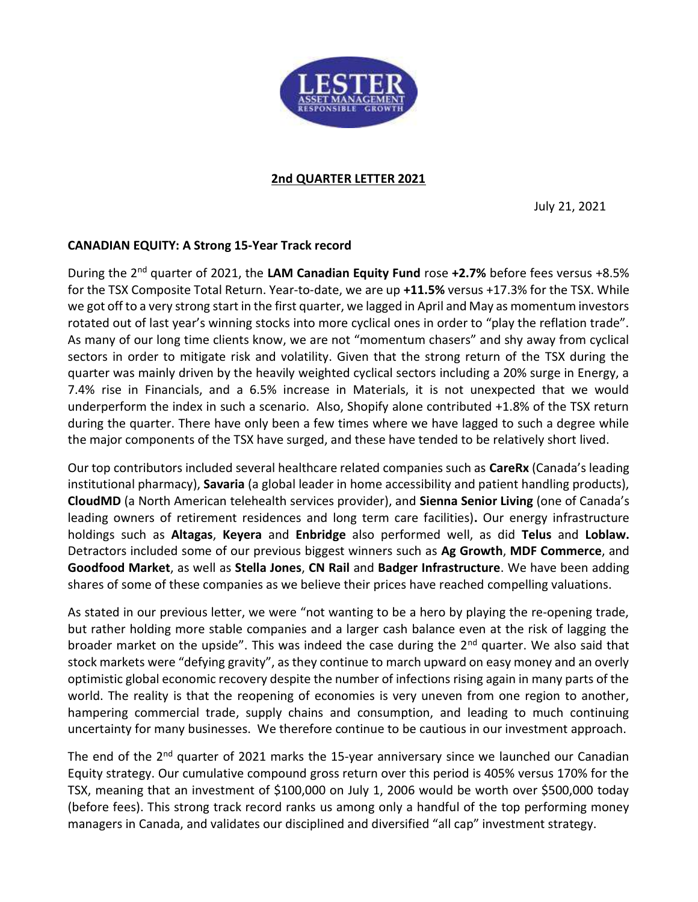

2nd QUARTER LETTER 2021

July 21, 2021

# CANADIAN EQUITY: A Strong 15-Year Track record

During the 2<sup>nd</sup> quarter of 2021, the LAM Canadian Equity Fund rose +2.7% before fees versus +8.5% for the TSX Composite Total Return. Year-to-date, we are up +11.5% versus +17.3% for the TSX. While we got off to a very strong start in the first quarter, we lagged in April and May as momentum investors rotated out of last year's winning stocks into more cyclical ones in order to "play the reflation trade". As many of our long time clients know, we are not "momentum chasers" and shy away from cyclical sectors in order to mitigate risk and volatility. Given that the strong return of the TSX during the quarter was mainly driven by the heavily weighted cyclical sectors including a 20% surge in Energy, a 7.4% rise in Financials, and a 6.5% increase in Materials, it is not unexpected that we would underperform the index in such a scenario. Also, Shopify alone contributed +1.8% of the TSX return during the quarter. There have only been a few times where we have lagged to such a degree while the major components of the TSX have surged, and these have tended to be relatively short lived.

Our top contributors included several healthcare related companies such as CareRx (Canada's leading institutional pharmacy), Savaria (a global leader in home accessibility and patient handling products), CloudMD (a North American telehealth services provider), and Sienna Senior Living (one of Canada's leading owners of retirement residences and long term care facilities). Our energy infrastructure holdings such as Altagas, Keyera and Enbridge also performed well, as did Telus and Loblaw. Detractors included some of our previous biggest winners such as Ag Growth, MDF Commerce, and Goodfood Market, as well as Stella Jones, CN Rail and Badger Infrastructure. We have been adding shares of some of these companies as we believe their prices have reached compelling valuations.

As stated in our previous letter, we were "not wanting to be a hero by playing the re-opening trade, but rather holding more stable companies and a larger cash balance even at the risk of lagging the broader market on the upside". This was indeed the case during the  $2<sup>nd</sup>$  quarter. We also said that stock markets were "defying gravity", as they continue to march upward on easy money and an overly optimistic global economic recovery despite the number of infections rising again in many parts of the world. The reality is that the reopening of economies is very uneven from one region to another, hampering commercial trade, supply chains and consumption, and leading to much continuing uncertainty for many businesses. We therefore continue to be cautious in our investment approach.

The end of the 2<sup>nd</sup> quarter of 2021 marks the 15-year anniversary since we launched our Canadian Equity strategy. Our cumulative compound gross return over this period is 405% versus 170% for the TSX, meaning that an investment of \$100,000 on July 1, 2006 would be worth over \$500,000 today (before fees). This strong track record ranks us among only a handful of the top performing money managers in Canada, and validates our disciplined and diversified "all cap" investment strategy.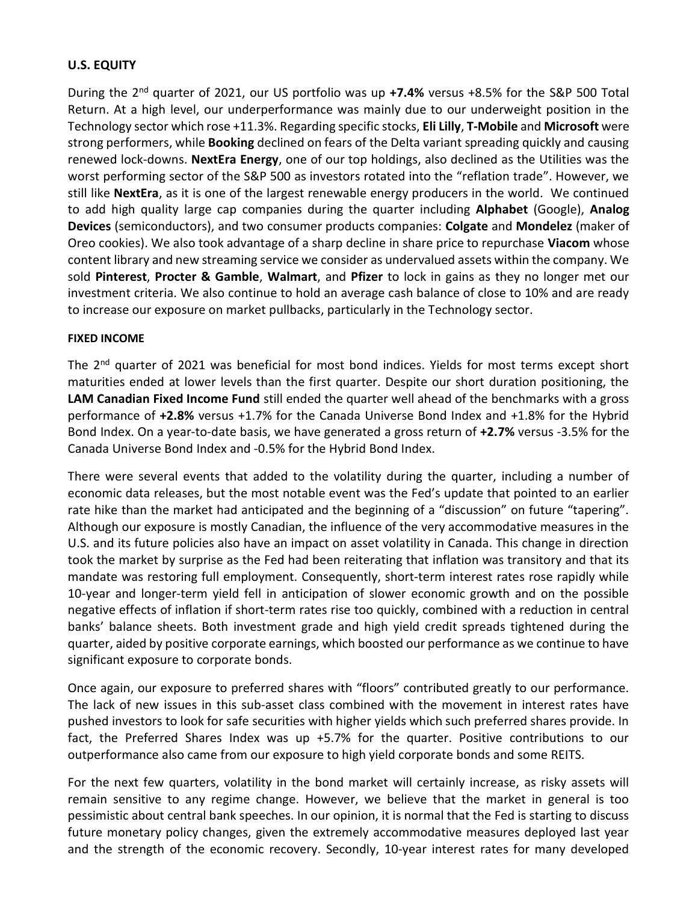# U.S. EQUITY

During the 2<sup>nd</sup> quarter of 2021, our US portfolio was up +7.4% versus +8.5% for the S&P 500 Total Return. At a high level, our underperformance was mainly due to our underweight position in the Technology sector which rose +11.3%. Regarding specific stocks, Eli Lilly, T-Mobile and Microsoft were strong performers, while **Booking** declined on fears of the Delta variant spreading quickly and causing renewed lock-downs. NextEra Energy, one of our top holdings, also declined as the Utilities was the worst performing sector of the S&P 500 as investors rotated into the "reflation trade". However, we still like NextEra, as it is one of the largest renewable energy producers in the world. We continued to add high quality large cap companies during the quarter including **Alphabet** (Google), Analog Devices (semiconductors), and two consumer products companies: Colgate and Mondelez (maker of Oreo cookies). We also took advantage of a sharp decline in share price to repurchase Viacom whose content library and new streaming service we consider as undervalued assets within the company. We sold Pinterest, Procter & Gamble, Walmart, and Pfizer to lock in gains as they no longer met our investment criteria. We also continue to hold an average cash balance of close to 10% and are ready to increase our exposure on market pullbacks, particularly in the Technology sector.

### FIXED INCOME

The 2<sup>nd</sup> quarter of 2021 was beneficial for most bond indices. Yields for most terms except short maturities ended at lower levels than the first quarter. Despite our short duration positioning, the LAM Canadian Fixed Income Fund still ended the quarter well ahead of the benchmarks with a gross performance of +2.8% versus +1.7% for the Canada Universe Bond Index and +1.8% for the Hybrid Bond Index. On a year-to-date basis, we have generated a gross return of +2.7% versus -3.5% for the Canada Universe Bond Index and -0.5% for the Hybrid Bond Index.

There were several events that added to the volatility during the quarter, including a number of economic data releases, but the most notable event was the Fed's update that pointed to an earlier rate hike than the market had anticipated and the beginning of a "discussion" on future "tapering". Although our exposure is mostly Canadian, the influence of the very accommodative measures in the U.S. and its future policies also have an impact on asset volatility in Canada. This change in direction took the market by surprise as the Fed had been reiterating that inflation was transitory and that its mandate was restoring full employment. Consequently, short-term interest rates rose rapidly while 10-year and longer-term yield fell in anticipation of slower economic growth and on the possible negative effects of inflation if short-term rates rise too quickly, combined with a reduction in central banks' balance sheets. Both investment grade and high yield credit spreads tightened during the quarter, aided by positive corporate earnings, which boosted our performance as we continue to have significant exposure to corporate bonds.

Once again, our exposure to preferred shares with "floors" contributed greatly to our performance. The lack of new issues in this sub-asset class combined with the movement in interest rates have pushed investors to look for safe securities with higher yields which such preferred shares provide. In fact, the Preferred Shares Index was up +5.7% for the quarter. Positive contributions to our outperformance also came from our exposure to high yield corporate bonds and some REITS.

For the next few quarters, volatility in the bond market will certainly increase, as risky assets will remain sensitive to any regime change. However, we believe that the market in general is too pessimistic about central bank speeches. In our opinion, it is normal that the Fed is starting to discuss future monetary policy changes, given the extremely accommodative measures deployed last year and the strength of the economic recovery. Secondly, 10-year interest rates for many developed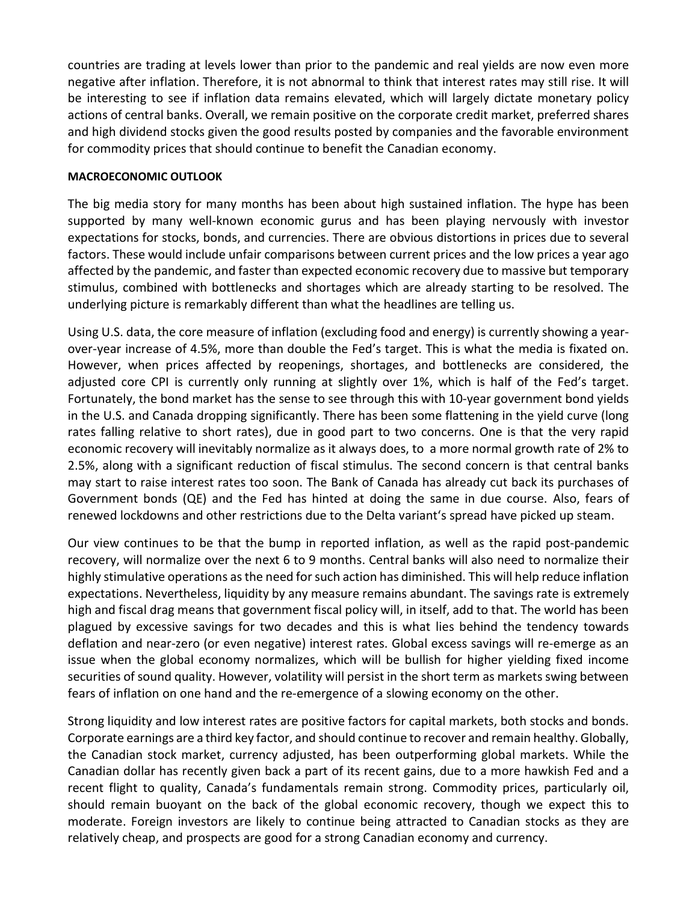countries are trading at levels lower than prior to the pandemic and real yields are now even more negative after inflation. Therefore, it is not abnormal to think that interest rates may still rise. It will be interesting to see if inflation data remains elevated, which will largely dictate monetary policy actions of central banks. Overall, we remain positive on the corporate credit market, preferred shares and high dividend stocks given the good results posted by companies and the favorable environment for commodity prices that should continue to benefit the Canadian economy.

## MACROECONOMIC OUTLOOK

The big media story for many months has been about high sustained inflation. The hype has been supported by many well-known economic gurus and has been playing nervously with investor expectations for stocks, bonds, and currencies. There are obvious distortions in prices due to several factors. These would include unfair comparisons between current prices and the low prices a year ago affected by the pandemic, and faster than expected economic recovery due to massive but temporary stimulus, combined with bottlenecks and shortages which are already starting to be resolved. The underlying picture is remarkably different than what the headlines are telling us.

Using U.S. data, the core measure of inflation (excluding food and energy) is currently showing a yearover-year increase of 4.5%, more than double the Fed's target. This is what the media is fixated on. However, when prices affected by reopenings, shortages, and bottlenecks are considered, the adjusted core CPI is currently only running at slightly over 1%, which is half of the Fed's target. Fortunately, the bond market has the sense to see through this with 10-year government bond yields in the U.S. and Canada dropping significantly. There has been some flattening in the yield curve (long rates falling relative to short rates), due in good part to two concerns. One is that the very rapid economic recovery will inevitably normalize as it always does, to a more normal growth rate of 2% to 2.5%, along with a significant reduction of fiscal stimulus. The second concern is that central banks may start to raise interest rates too soon. The Bank of Canada has already cut back its purchases of Government bonds (QE) and the Fed has hinted at doing the same in due course. Also, fears of renewed lockdowns and other restrictions due to the Delta variant's spread have picked up steam.

Our view continues to be that the bump in reported inflation, as well as the rapid post-pandemic recovery, will normalize over the next 6 to 9 months. Central banks will also need to normalize their highly stimulative operations as the need for such action has diminished. This will help reduce inflation expectations. Nevertheless, liquidity by any measure remains abundant. The savings rate is extremely high and fiscal drag means that government fiscal policy will, in itself, add to that. The world has been plagued by excessive savings for two decades and this is what lies behind the tendency towards deflation and near-zero (or even negative) interest rates. Global excess savings will re-emerge as an issue when the global economy normalizes, which will be bullish for higher yielding fixed income securities of sound quality. However, volatility will persist in the short term as markets swing between fears of inflation on one hand and the re-emergence of a slowing economy on the other.

Strong liquidity and low interest rates are positive factors for capital markets, both stocks and bonds. Corporate earnings are a third key factor, and should continue to recover and remain healthy. Globally, the Canadian stock market, currency adjusted, has been outperforming global markets. While the Canadian dollar has recently given back a part of its recent gains, due to a more hawkish Fed and a recent flight to quality, Canada's fundamentals remain strong. Commodity prices, particularly oil, should remain buoyant on the back of the global economic recovery, though we expect this to moderate. Foreign investors are likely to continue being attracted to Canadian stocks as they are relatively cheap, and prospects are good for a strong Canadian economy and currency.